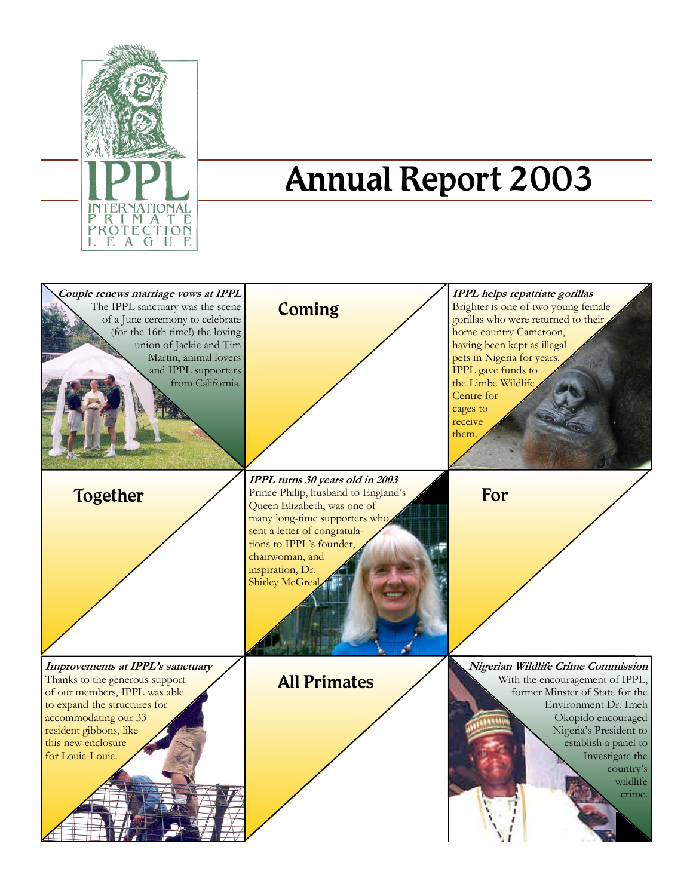

# Annual Report 2003

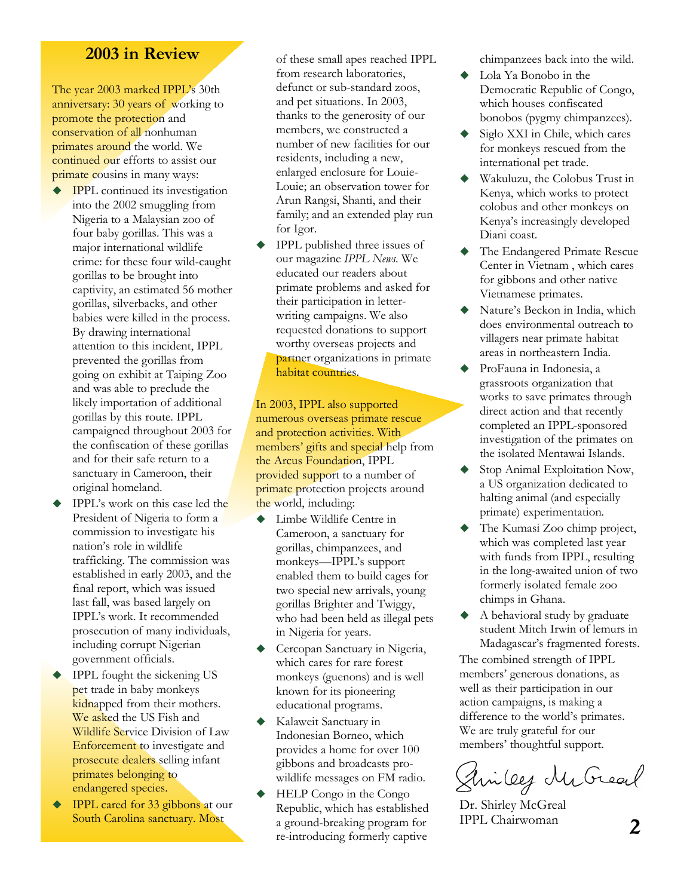### **2003 in Review**

The year 2003 marked IPPL's 30th anniversary: 30 years of working to promote the protection and conservation of all nonhuman primates around the world. We continued our efforts to assist our primate cousins in many ways:

- IPPL continued its investigation into the 2002 smuggling from Nigeria to a Malaysian zoo of four baby gorillas. This was a major international wildlife crime: for these four wild-caught gorillas to be brought into captivity, an estimated 56 mother gorillas, silverbacks, and other babies were killed in the process. By drawing international attention to this incident, IPPL prevented the gorillas from going on exhibit at Taiping Zoo and was able to preclude the likely importation of additional gorillas by this route. IPPL campaigned throughout 2003 for the confiscation of these gorillas and for their safe return to a sanctuary in Cameroon, their original homeland.
- IPPL's work on this case led the President of Nigeria to form a commission to investigate his nation's role in wildlife trafficking. The commission was established in early 2003, and the final report, which was issued last fall, was based largely on IPPL's work. It recommended prosecution of many individuals, including corrupt Nigerian government officials.
- ◆ IPPL fought the sickening US pet trade in baby monkeys kidnapped from their mothers. We asked the US Fish and Wildlife Service Division of Law Enforcement to investigate and prosecute dealers selling infant primates belonging to endangered species.
- IPPL cared for 33 gibbons at our South Carolina sanctuary. Most

of these small apes reached IPPL from research laboratories, defunct or sub-standard zoos, and pet situations. In 2003, thanks to the generosity of our members, we constructed a number of new facilities for our residents, including a new, enlarged enclosure for Louie-Louie; an observation tower for Arun Rangsi, Shanti, and their family; and an extended play run for Igor.

 IPPL published three issues of our magazine *IPPL News*. We educated our readers about primate problems and asked for their participation in letterwriting campaigns. We also requested donations to support worthy overseas projects and partner organizations in primate habitat countries.

In 2003, IPPL also supported numerous overseas primate rescue and protection activities. With members' gifts and special help from the Arcus Foundation, IPPL provided support to a number of primate protection projects around the world, including:

- ◆ Limbe Wildlife Centre in Cameroon, a sanctuary for gorillas, chimpanzees, and monkeys—IPPL's support enabled them to build cages for two special new arrivals, young gorillas Brighter and Twiggy, who had been held as illegal pets in Nigeria for years.
- Cercopan Sanctuary in Nigeria, which cares for rare forest monkeys (guenons) and is well known for its pioneering educational programs.
- Kalaweit Sanctuary in Indonesian Borneo, which provides a home for over 100 gibbons and broadcasts prowildlife messages on FM radio.
- HELP Congo in the Congo Republic, which has established a ground-breaking program for re-introducing formerly captive

chimpanzees back into the wild.

- ◆ Lola Ya Bonobo in the Democratic Republic of Congo, which houses confiscated bonobos (pygmy chimpanzees).
- Siglo XXI in Chile, which cares for monkeys rescued from the international pet trade.
- Wakuluzu, the Colobus Trust in Kenya, which works to protect colobus and other monkeys on Kenya's increasingly developed Diani coast.
- The Endangered Primate Rescue Center in Vietnam , which cares for gibbons and other native Vietnamese primates.
- Nature's Beckon in India, which does environmental outreach to villagers near primate habitat areas in northeastern India.
- ProFauna in Indonesia, a grassroots organization that works to save primates through direct action and that recently completed an IPPL-sponsored investigation of the primates on the isolated Mentawai Islands.
- Stop Animal Exploitation Now, a US organization dedicated to halting animal (and especially primate) experimentation.
- The Kumasi Zoo chimp project, which was completed last year with funds from IPPL, resulting in the long-awaited union of two formerly isolated female zoo chimps in Ghana.
- A behavioral study by graduate student Mitch Irwin of lemurs in Madagascar's fragmented forests.

The combined strength of IPPL members' generous donations, as well as their participation in our action campaigns, is making a difference to the world's primates. We are truly grateful for our members' thoughtful support.

Sincey McGreat

Dr. Shirley McGreal IPPL Chairwoman 2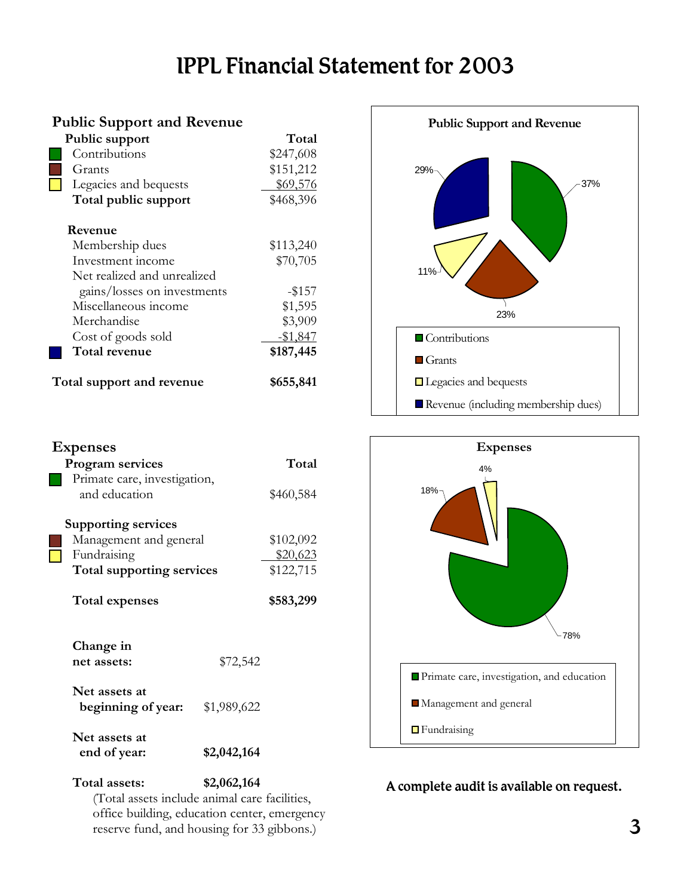## IPPL Financial Statement for 2003

| <b>Public Support and Revenue</b> |                             |           |
|-----------------------------------|-----------------------------|-----------|
| Public support                    |                             | Total     |
|                                   | Contributions               | \$247,608 |
|                                   | Grants                      | \$151,212 |
|                                   | Legacies and bequests       | \$69,576  |
|                                   | Total public support        | \$468,396 |
|                                   | Revenue                     |           |
|                                   | Membership dues             | \$113,240 |
|                                   | Investment income           | \$70,705  |
|                                   | Net realized and unrealized |           |
|                                   | gains/losses on investments | $-$ \$157 |
|                                   | Miscellaneous income        | \$1,595   |
|                                   | Merchandise                 | \$3,909   |
|                                   | Cost of goods sold          | $-$1,847$ |
|                                   | Total revenue               | \$187,445 |
| Total support and revenue         |                             | \$655,841 |

Program services Total

and education \$460,584

Management and general \$102,092 Fundraising \$20,623  **Total supporting services** \$122,715

Total expenses \$583,299

**net assets:** \$72,542

 **beginning of year:** \$1,989,622

 **end of year: \$2,042,164** 

Primate care, investigation,

**Supporting services** 

**Change in** 

**Net assets at** 

**Net assets at** 

**Expenses** 





### A complete audit is available on request.

**Total assets: \$2,062,164**  (Total assets include animal care facilities, office building, education center, emergency reserve fund, and housing for 33 gibbons.)